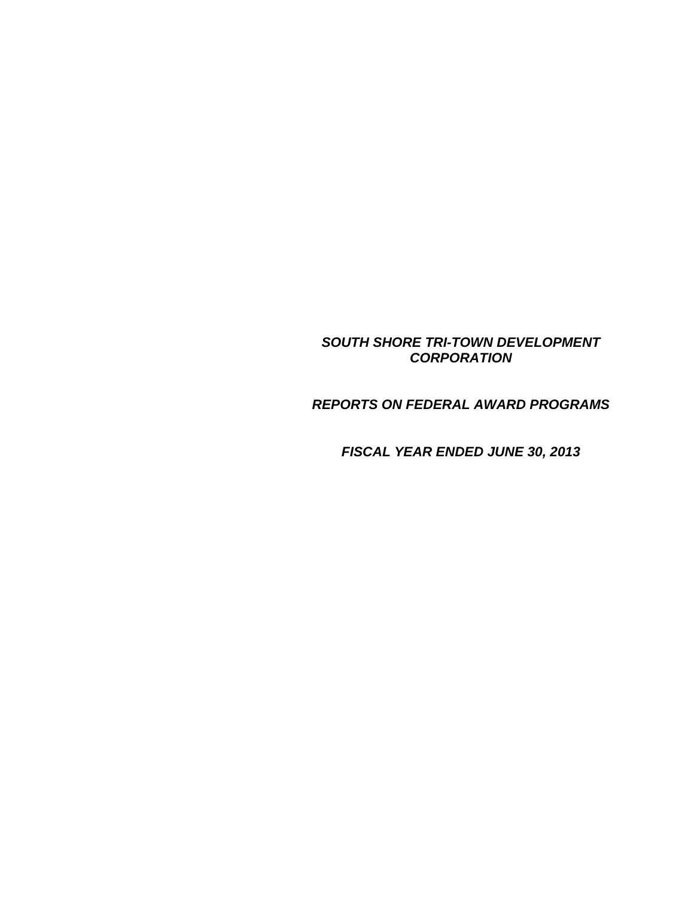# *SOUTH SHORE TRI-TOWN DEVELOPMENT CORPORATION*

*REPORTS ON FEDERAL AWARD PROGRAMS* 

*FISCAL YEAR ENDED JUNE 30, 2013*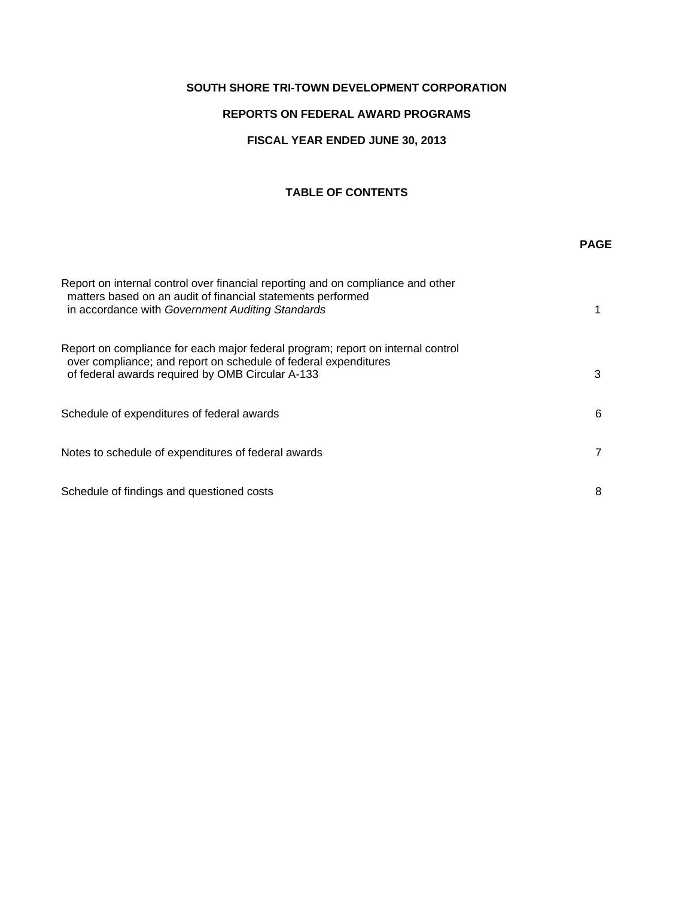## **SOUTH SHORE TRI-TOWN DEVELOPMENT CORPORATION**

## **REPORTS ON FEDERAL AWARD PROGRAMS**

## **FISCAL YEAR ENDED JUNE 30, 2013**

#### **TABLE OF CONTENTS**

|                                                                                                                                                                                                        | <b>PAGE</b> |
|--------------------------------------------------------------------------------------------------------------------------------------------------------------------------------------------------------|-------------|
| Report on internal control over financial reporting and on compliance and other<br>matters based on an audit of financial statements performed<br>in accordance with Government Auditing Standards     |             |
| Report on compliance for each major federal program; report on internal control<br>over compliance; and report on schedule of federal expenditures<br>of federal awards required by OMB Circular A-133 | 3           |
| Schedule of expenditures of federal awards                                                                                                                                                             | 6           |
| Notes to schedule of expenditures of federal awards                                                                                                                                                    |             |
| Schedule of findings and questioned costs                                                                                                                                                              | 8           |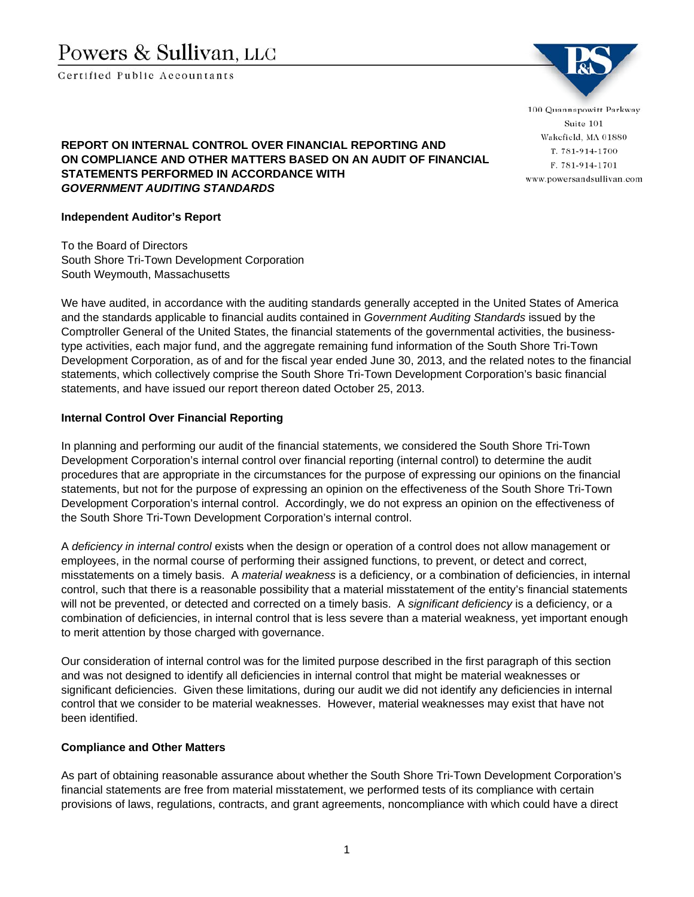Certified Public Accountants



100 Quannapowitt Parkway Suite 101 Wakefield, MA 01880 T. 781-914-1700 F. 781-914-1701 www.powersandsullivan.com

## **REPORT ON INTERNAL CONTROL OVER FINANCIAL REPORTING AND ON COMPLIANCE AND OTHER MATTERS BASED ON AN AUDIT OF FINANCIAL STATEMENTS PERFORMED IN ACCORDANCE WITH**  *GOVERNMENT AUDITING STANDARDS*

#### **Independent Auditor's Report**

To the Board of Directors South Shore Tri-Town Development Corporation South Weymouth, Massachusetts

We have audited, in accordance with the auditing standards generally accepted in the United States of America and the standards applicable to financial audits contained in *Government Auditing Standards* issued by the Comptroller General of the United States, the financial statements of the governmental activities, the businesstype activities, each major fund, and the aggregate remaining fund information of the South Shore Tri-Town Development Corporation, as of and for the fiscal year ended June 30, 2013, and the related notes to the financial statements, which collectively comprise the South Shore Tri-Town Development Corporation's basic financial statements, and have issued our report thereon dated October 25, 2013.

## **Internal Control Over Financial Reporting**

In planning and performing our audit of the financial statements, we considered the South Shore Tri-Town Development Corporation's internal control over financial reporting (internal control) to determine the audit procedures that are appropriate in the circumstances for the purpose of expressing our opinions on the financial statements, but not for the purpose of expressing an opinion on the effectiveness of the South Shore Tri-Town Development Corporation's internal control. Accordingly, we do not express an opinion on the effectiveness of the South Shore Tri-Town Development Corporation's internal control.

A *deficiency in internal control* exists when the design or operation of a control does not allow management or employees, in the normal course of performing their assigned functions, to prevent, or detect and correct, misstatements on a timely basis. A *material weakness* is a deficiency, or a combination of deficiencies, in internal control, such that there is a reasonable possibility that a material misstatement of the entity's financial statements will not be prevented, or detected and corrected on a timely basis. A *significant deficiency* is a deficiency, or a combination of deficiencies, in internal control that is less severe than a material weakness, yet important enough to merit attention by those charged with governance.

Our consideration of internal control was for the limited purpose described in the first paragraph of this section and was not designed to identify all deficiencies in internal control that might be material weaknesses or significant deficiencies. Given these limitations, during our audit we did not identify any deficiencies in internal control that we consider to be material weaknesses. However, material weaknesses may exist that have not been identified.

#### **Compliance and Other Matters**

As part of obtaining reasonable assurance about whether the South Shore Tri-Town Development Corporation's financial statements are free from material misstatement, we performed tests of its compliance with certain provisions of laws, regulations, contracts, and grant agreements, noncompliance with which could have a direct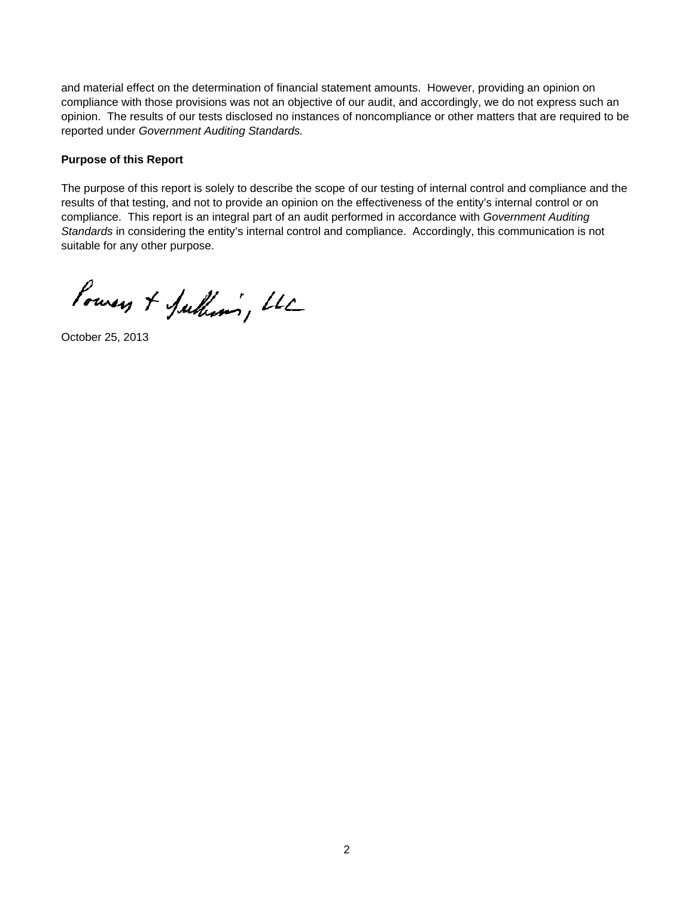and material effect on the determination of financial statement amounts. However, providing an opinion on compliance with those provisions was not an objective of our audit, and accordingly, we do not express such an opinion. The results of our tests disclosed no instances of noncompliance or other matters that are required to be reported under *Government Auditing Standards.*

### **Purpose of this Report**

The purpose of this report is solely to describe the scope of our testing of internal control and compliance and the results of that testing, and not to provide an opinion on the effectiveness of the entity's internal control or on compliance. This report is an integral part of an audit performed in accordance with *Government Auditing Standards* in considering the entity's internal control and compliance. Accordingly, this communication is not suitable for any other purpose.

Powers + Julians, LLC

October 25, 2013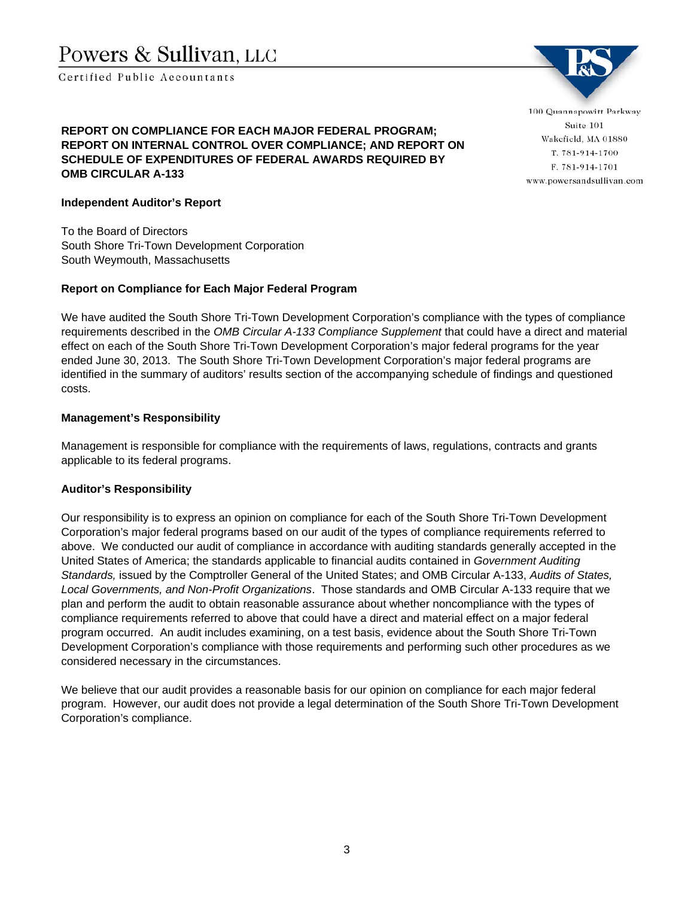Certified Public Accountants

# **REPORT ON COMPLIANCE FOR EACH MAJOR FEDERAL PROGRAM; REPORT ON INTERNAL CONTROL OVER COMPLIANCE; AND REPORT ON SCHEDULE OF EXPENDITURES OF FEDERAL AWARDS REQUIRED BY OMB CIRCULAR A-133**

100 Quannapowitt Parkway Suite 101 Wakefield, MA 01880 T. 781-914-1700 F. 781-914-1701 www.powersandsullivan.com

## **Independent Auditor's Report**

To the Board of Directors South Shore Tri-Town Development Corporation South Weymouth, Massachusetts

## **Report on Compliance for Each Major Federal Program**

We have audited the South Shore Tri-Town Development Corporation's compliance with the types of compliance requirements described in the *OMB Circular A-133 Compliance Supplement* that could have a direct and material effect on each of the South Shore Tri-Town Development Corporation's major federal programs for the year ended June 30, 2013. The South Shore Tri-Town Development Corporation's major federal programs are identified in the summary of auditors' results section of the accompanying schedule of findings and questioned costs.

## **Management's Responsibility**

Management is responsible for compliance with the requirements of laws, regulations, contracts and grants applicable to its federal programs.

## **Auditor's Responsibility**

Our responsibility is to express an opinion on compliance for each of the South Shore Tri-Town Development Corporation's major federal programs based on our audit of the types of compliance requirements referred to above. We conducted our audit of compliance in accordance with auditing standards generally accepted in the United States of America; the standards applicable to financial audits contained in *Government Auditing Standards,* issued by the Comptroller General of the United States; and OMB Circular A-133, *Audits of States, Local Governments, and Non-Profit Organizations*. Those standards and OMB Circular A-133 require that we plan and perform the audit to obtain reasonable assurance about whether noncompliance with the types of compliance requirements referred to above that could have a direct and material effect on a major federal program occurred. An audit includes examining, on a test basis, evidence about the South Shore Tri-Town Development Corporation's compliance with those requirements and performing such other procedures as we considered necessary in the circumstances.

We believe that our audit provides a reasonable basis for our opinion on compliance for each major federal program. However, our audit does not provide a legal determination of the South Shore Tri-Town Development Corporation's compliance.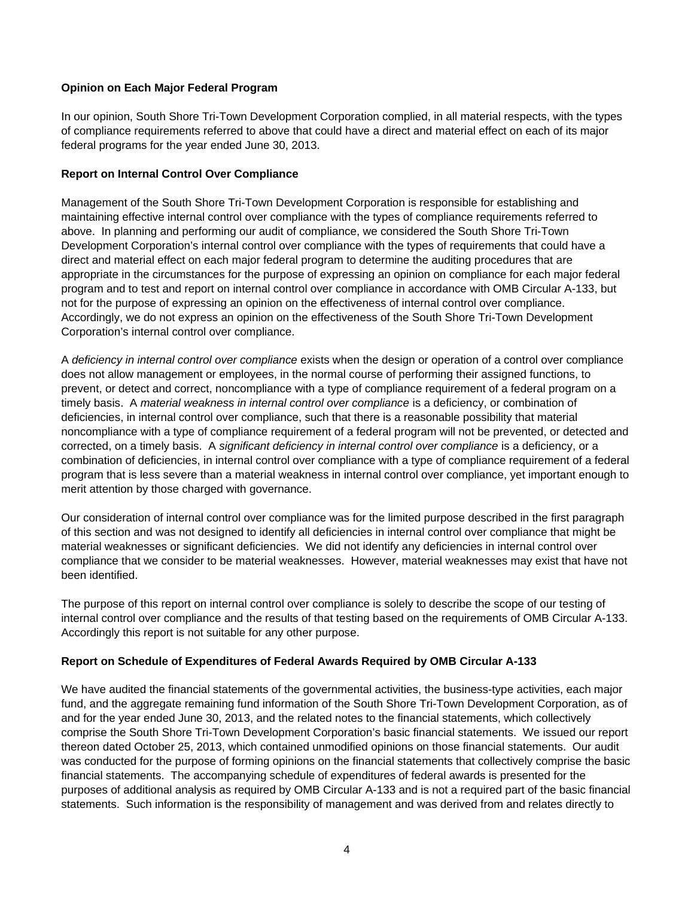## **Opinion on Each Major Federal Program**

In our opinion, South Shore Tri-Town Development Corporation complied, in all material respects, with the types of compliance requirements referred to above that could have a direct and material effect on each of its major federal programs for the year ended June 30, 2013.

### **Report on Internal Control Over Compliance**

Management of the South Shore Tri-Town Development Corporation is responsible for establishing and maintaining effective internal control over compliance with the types of compliance requirements referred to above. In planning and performing our audit of compliance, we considered the South Shore Tri-Town Development Corporation's internal control over compliance with the types of requirements that could have a direct and material effect on each major federal program to determine the auditing procedures that are appropriate in the circumstances for the purpose of expressing an opinion on compliance for each major federal program and to test and report on internal control over compliance in accordance with OMB Circular A-133, but not for the purpose of expressing an opinion on the effectiveness of internal control over compliance. Accordingly, we do not express an opinion on the effectiveness of the South Shore Tri-Town Development Corporation's internal control over compliance.

A *deficiency in internal control over compliance* exists when the design or operation of a control over compliance does not allow management or employees, in the normal course of performing their assigned functions, to prevent, or detect and correct, noncompliance with a type of compliance requirement of a federal program on a timely basis. A *material weakness in internal control over compliance* is a deficiency, or combination of deficiencies, in internal control over compliance, such that there is a reasonable possibility that material noncompliance with a type of compliance requirement of a federal program will not be prevented, or detected and corrected, on a timely basis. A significant deficiency in internal control over compliance is a deficiency, or a combination of deficiencies, in internal control over compliance with a type of compliance requirement of a federal program that is less severe than a material weakness in internal control over compliance, yet important enough to merit attention by those charged with governance.

Our consideration of internal control over compliance was for the limited purpose described in the first paragraph of this section and was not designed to identify all deficiencies in internal control over compliance that might be material weaknesses or significant deficiencies. We did not identify any deficiencies in internal control over compliance that we consider to be material weaknesses. However, material weaknesses may exist that have not been identified.

The purpose of this report on internal control over compliance is solely to describe the scope of our testing of internal control over compliance and the results of that testing based on the requirements of OMB Circular A-133. Accordingly this report is not suitable for any other purpose.

## **Report on Schedule of Expenditures of Federal Awards Required by OMB Circular A-133**

We have audited the financial statements of the governmental activities, the business-type activities, each major fund, and the aggregate remaining fund information of the South Shore Tri-Town Development Corporation, as of and for the year ended June 30, 2013, and the related notes to the financial statements, which collectively comprise the South Shore Tri-Town Development Corporation's basic financial statements. We issued our report thereon dated October 25, 2013, which contained unmodified opinions on those financial statements. Our audit was conducted for the purpose of forming opinions on the financial statements that collectively comprise the basic financial statements. The accompanying schedule of expenditures of federal awards is presented for the purposes of additional analysis as required by OMB Circular A-133 and is not a required part of the basic financial statements. Such information is the responsibility of management and was derived from and relates directly to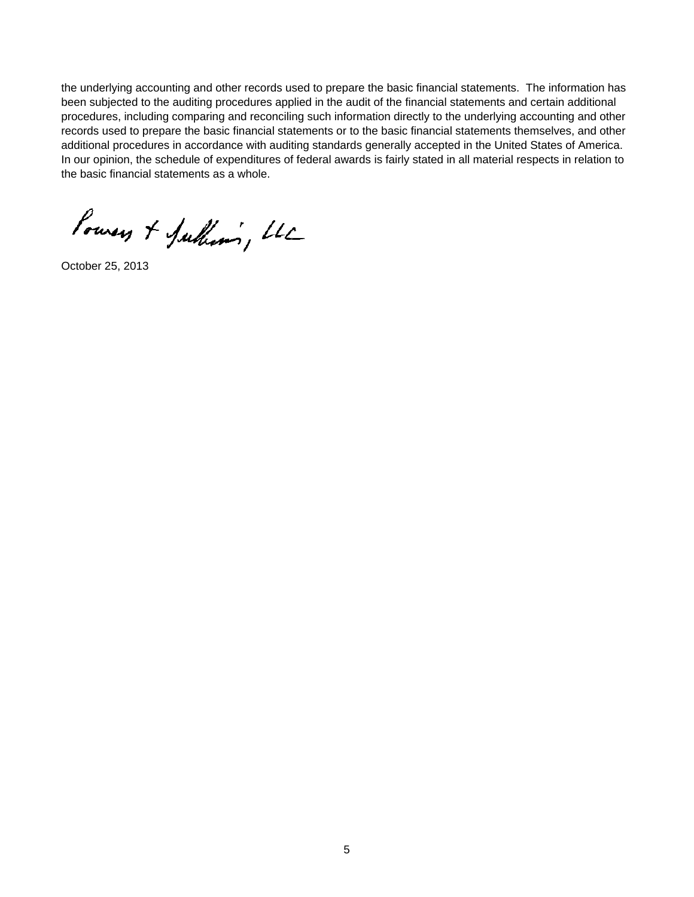the underlying accounting and other records used to prepare the basic financial statements. The information has been subjected to the auditing procedures applied in the audit of the financial statements and certain additional procedures, including comparing and reconciling such information directly to the underlying accounting and other records used to prepare the basic financial statements or to the basic financial statements themselves, and other additional procedures in accordance with auditing standards generally accepted in the United States of America. In our opinion, the schedule of expenditures of federal awards is fairly stated in all material respects in relation to the basic financial statements as a whole.

Powers + Julham's, LLC

October 25, 2013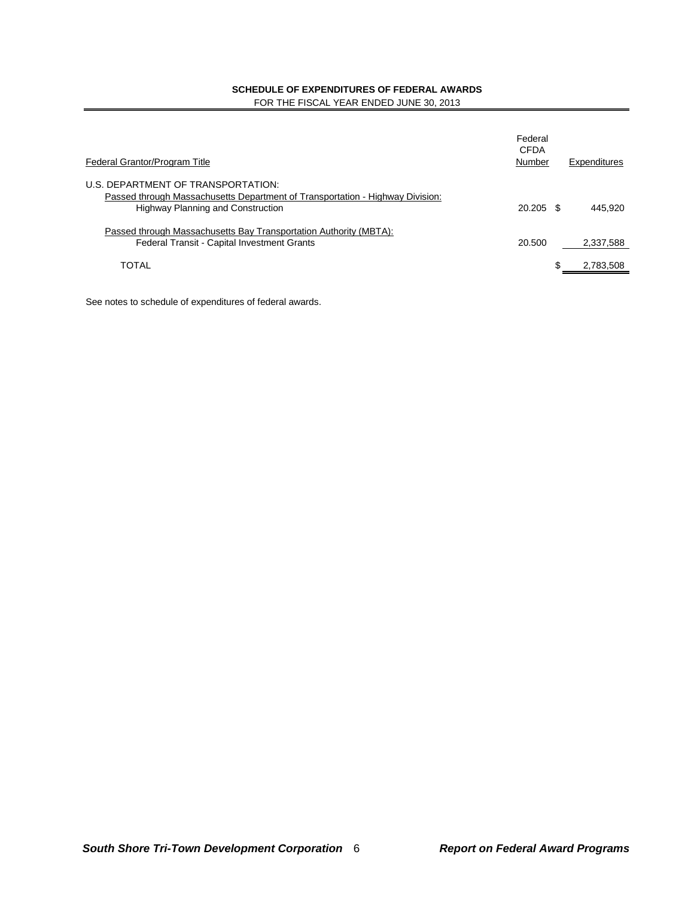#### **SCHEDULE OF EXPENDITURES OF FEDERAL AWARDS** FOR THE FISCAL YEAR ENDED JUNE 30, 2013

| Federal Grantor/Program Title                                                                                                                            | Federal<br><b>CFDA</b><br>Number | Expenditures |
|----------------------------------------------------------------------------------------------------------------------------------------------------------|----------------------------------|--------------|
| U.S. DEPARTMENT OF TRANSPORTATION:<br>Passed through Massachusetts Department of Transportation - Highway Division:<br>Highway Planning and Construction | $20.205$ \$                      | 445.920      |
| Passed through Massachusetts Bay Transportation Authority (MBTA):<br>Federal Transit - Capital Investment Grants                                         | 20.500                           | 2,337,588    |
| TOTAL                                                                                                                                                    |                                  | 2,783,508    |

See notes to schedule of expenditures of federal awards.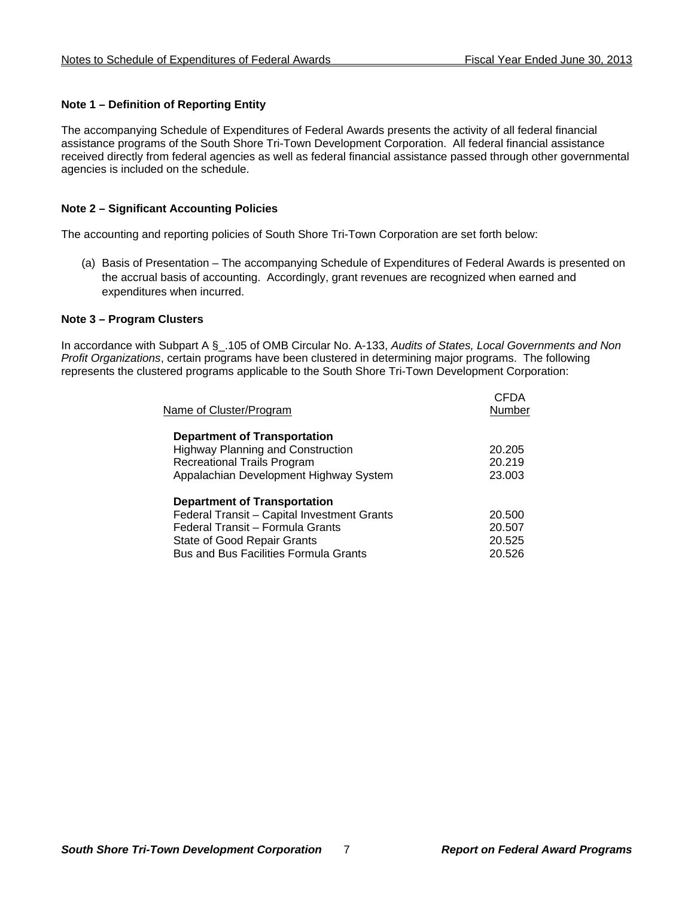#### **Note 1 – Definition of Reporting Entity**

The accompanying Schedule of Expenditures of Federal Awards presents the activity of all federal financial assistance programs of the South Shore Tri-Town Development Corporation. All federal financial assistance received directly from federal agencies as well as federal financial assistance passed through other governmental agencies is included on the schedule.

#### **Note 2 – Significant Accounting Policies**

The accounting and reporting policies of South Shore Tri-Town Corporation are set forth below:

(a) Basis of Presentation – The accompanying Schedule of Expenditures of Federal Awards is presented on the accrual basis of accounting. Accordingly, grant revenues are recognized when earned and expenditures when incurred.

#### **Note 3 – Program Clusters**

In accordance with Subpart A §\_.105 of OMB Circular No. A-133, *Audits of States, Local Governments and Non Profit Organizations*, certain programs have been clustered in determining major programs. The following represents the clustered programs applicable to the South Shore Tri-Town Development Corporation:

| Name of Cluster/Program                      | <b>CFDA</b><br>Number |
|----------------------------------------------|-----------------------|
| <b>Department of Transportation</b>          |                       |
| <b>Highway Planning and Construction</b>     | 20.205                |
| <b>Recreational Trails Program</b>           | 20.219                |
| Appalachian Development Highway System       | 23,003                |
| <b>Department of Transportation</b>          |                       |
| Federal Transit - Capital Investment Grants  | 20,500                |
| Federal Transit - Formula Grants             | 20,507                |
| State of Good Repair Grants                  | 20.525                |
| <b>Bus and Bus Facilities Formula Grants</b> | 20.526                |